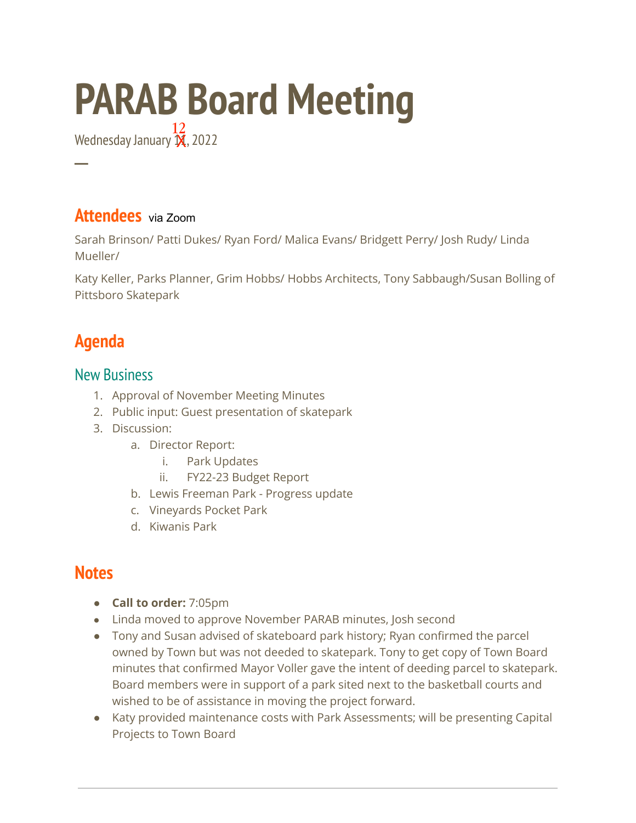# **PARAB Board Meeting**

Wednesday January  $\overline{\mathbf{X}}$ , 2022 12

#### **Attendees** via Zoom

Sarah Brinson/ Patti Dukes/ Ryan Ford/ Malica Evans/ Bridgett Perry/ Josh Rudy/ Linda Mueller/

Katy Keller, Parks Planner, Grim Hobbs/ Hobbs Architects, Tony Sabbaugh/Susan Bolling of Pittsboro Skatepark

## **Agenda**

**─**

#### New Business

- 1. Approval of November Meeting Minutes
- 2. Public input: Guest presentation of skatepark
- 3. Discussion:
	- a. Director Report:
		- i. Park Updates
		- ii. FY22-23 Budget Report
	- b. Lewis Freeman Park Progress update
	- c. Vineyards Pocket Park
	- d. Kiwanis Park

### **Notes**

- **Call to order:** 7:05pm
- Linda moved to approve November PARAB minutes, Josh second
- Tony and Susan advised of skateboard park history; Ryan confirmed the parcel owned by Town but was not deeded to skatepark. Tony to get copy of Town Board minutes that confirmed Mayor Voller gave the intent of deeding parcel to skatepark. Board members were in support of a park sited next to the basketball courts and wished to be of assistance in moving the project forward.
- Katy provided maintenance costs with Park Assessments; will be presenting Capital Projects to Town Board